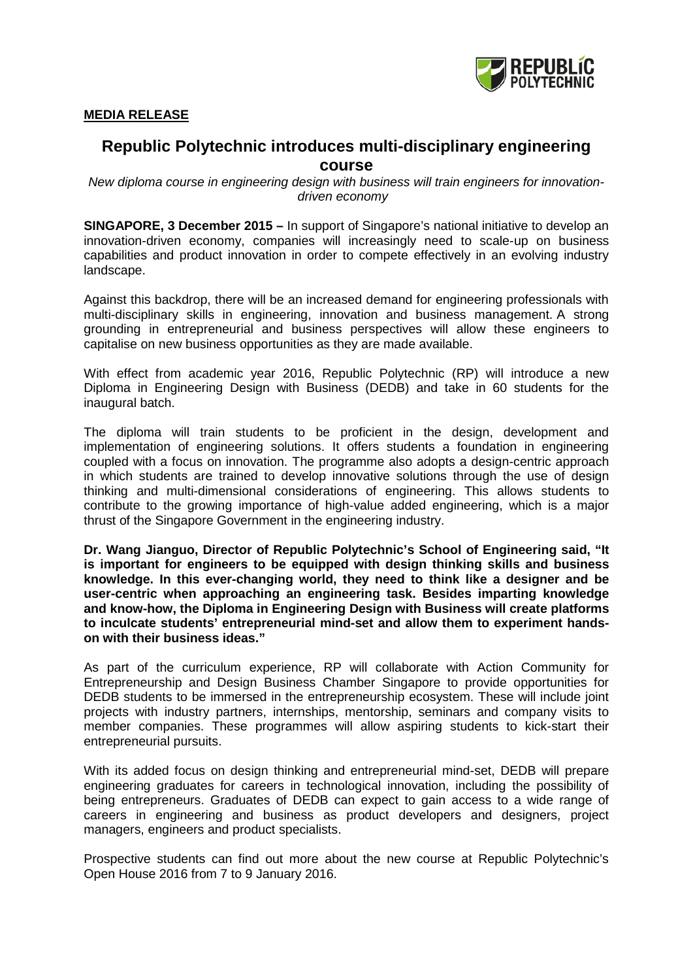

## **MEDIA RELEASE**

# **Republic Polytechnic introduces multi-disciplinary engineering course**

*New diploma course in engineering design with business will train engineers for innovationdriven economy* 

**SINGAPORE, 3 December 2015 –** In support of Singapore's national initiative to develop an innovation-driven economy, companies will increasingly need to scale-up on business capabilities and product innovation in order to compete effectively in an evolving industry landscape.

Against this backdrop, there will be an increased demand for engineering professionals with multi-disciplinary skills in engineering, innovation and business management. A strong grounding in entrepreneurial and business perspectives will allow these engineers to capitalise on new business opportunities as they are made available.

With effect from academic year 2016, Republic Polytechnic (RP) will introduce a new Diploma in Engineering Design with Business (DEDB) and take in 60 students for the inaugural batch.

The diploma will train students to be proficient in the design, development and implementation of engineering solutions. It offers students a foundation in engineering coupled with a focus on innovation. The programme also adopts a design-centric approach in which students are trained to develop innovative solutions through the use of design thinking and multi-dimensional considerations of engineering. This allows students to contribute to the growing importance of high-value added engineering, which is a major thrust of the Singapore Government in the engineering industry.

**Dr. Wang Jianguo, Director of Republic Polytechnic's School of Engineering said, "It is important for engineers to be equipped with design thinking skills and business knowledge. In this ever-changing world, they need to think like a designer and be user-centric when approaching an engineering task. Besides imparting knowledge and know-how, the Diploma in Engineering Design with Business will create platforms to inculcate students' entrepreneurial mind-set and allow them to experiment handson with their business ideas."**

As part of the curriculum experience, RP will collaborate with Action Community for Entrepreneurship and Design Business Chamber Singapore to provide opportunities for DEDB students to be immersed in the entrepreneurship ecosystem. These will include joint projects with industry partners, internships, mentorship, seminars and company visits to member companies. These programmes will allow aspiring students to kick-start their entrepreneurial pursuits.

With its added focus on design thinking and entrepreneurial mind-set, DEDB will prepare engineering graduates for careers in technological innovation, including the possibility of being entrepreneurs. Graduates of DEDB can expect to gain access to a wide range of careers in engineering and business as product developers and designers, project managers, engineers and product specialists.

Prospective students can find out more about the new course at Republic Polytechnic's Open House 2016 from 7 to 9 January 2016.